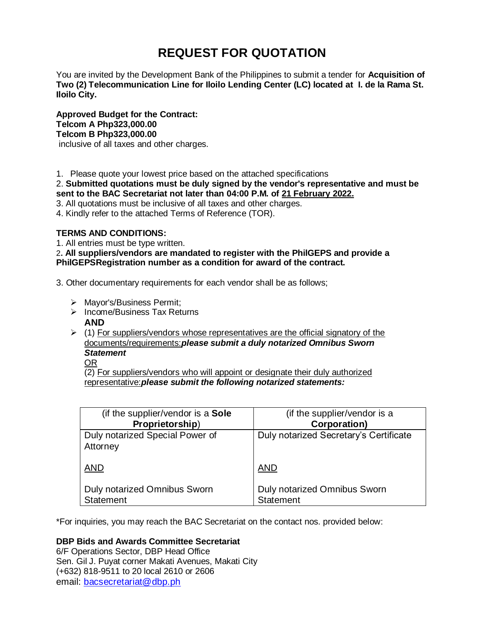# **REQUEST FOR QUOTATION**

You are invited by the Development Bank of the Philippines to submit a tender for **Acquisition of Two (2) Telecommunication Line for Iloilo Lending Center (LC) located at I. de la Rama St. Iloilo City.**

**Approved Budget for the Contract: Telcom A Php323,000.00 Telcom B Php323,000.00** inclusive of all taxes and other charges.

1. Please quote your lowest price based on the attached specifications

2. **Submitted quotations must be duly signed by the vendor's representative and must be sent to the BAC Secretariat not later than 04:00 P.M. of 21 February 2022.**

3. All quotations must be inclusive of all taxes and other charges.

4. Kindly refer to the attached Terms of Reference (TOR).

# **TERMS AND CONDITIONS:**

1. All entries must be type written.

2**. All suppliers/vendors are mandated to register with the PhilGEPS and provide a PhilGEPSRegistration number as a condition for award of the contract.**

3. Other documentary requirements for each vendor shall be as follows;

- > Mayor's/Business Permit;
- $\triangleright$  Income/Business Tax Returns **AND**
- $\geq$  (1) For suppliers/vendors whose representatives are the official signatory of the documents/requirements:*please submit a duly notarized Omnibus Sworn Statement*

OR

(2) For suppliers/vendors who will appoint or designate their duly authorized representative:*please submit the following notarized statements:*

| (if the supplier/vendor is a Sole   | (if the supplier/vendor is a           |
|-------------------------------------|----------------------------------------|
| Proprietorship)                     | Corporation)                           |
| Duly notarized Special Power of     | Duly notarized Secretary's Certificate |
| Attorney                            |                                        |
| <b>AND</b>                          | <b>AND</b>                             |
|                                     |                                        |
| <b>Duly notarized Omnibus Sworn</b> | Duly notarized Omnibus Sworn           |
| Statement                           | <b>Statement</b>                       |

\*For inquiries, you may reach the BAC Secretariat on the contact nos. provided below:

# **DBP Bids and Awards Committee Secretariat**

6/F Operations Sector, DBP Head Office Sen. Gil J. Puyat corner Makati Avenues, Makati City (+632) 818-9511 to 20 local 2610 or 2606 email: [bacsecretariat@dbp.ph](mailto:bacsecretariat@dbp.ph)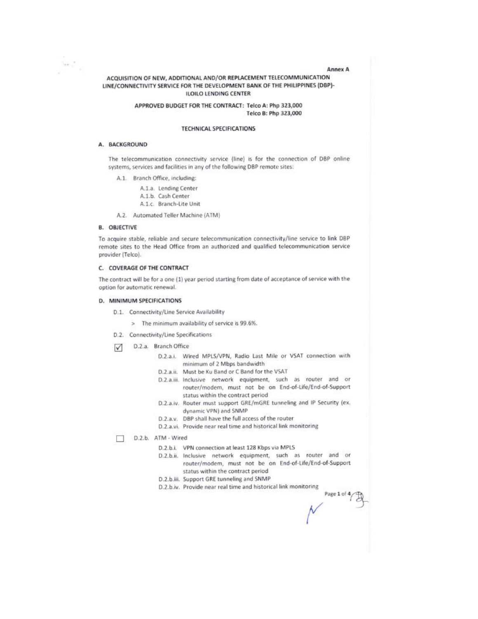#### Anney A

Page 1 of 4

## ACQUISITION OF NEW, ADDITIONAL AND/OR REPLACEMENT TELECOMMUNICATION LINE/CONNECTIVITY SERVICE FOR THE DEVELOPMENT BANK OF THE PHILIPPINES (DBP)-**ILOILO LENDING CENTER**

#### APPROVED BUDGET FOR THE CONTRACT: Telco A: Php 323,000 Telco B: Php 323,000

## **TECHNICAL SPECIFICATIONS**

#### A. BACKGROUND

 $\omega$  .

The telecommunication connectivity service (line) is for the connection of DBP online systems, services and facilities in any of the following DBP remote sites:

- A.1. Branch Office, including:
	- A.1.a. Lending Center
	- A.1.b. Cash Center
	- A.1.c. Branch-Lite Unit
- A.2. Automated Teller Machine (ATM)

## **B. OBJECTIVE**

To acquire stable, reliable and secure telecommunication connectivity/line service to link DBP remote sites to the Head Office from an authorized and qualified telecommunication service provider (Telco).

#### C. COVERAGE OF THE CONTRACT

The contract will be for a one (1) year period starting from date of acceptance of service with the option for automatic renewal.

#### D. MINIMUM SPECIFICATIONS

- D.1. Connectivity/Line Service Availability
	- > The minimum availability of service is 99.6%.
- D.2. Connectivity/Line Specifications
- D.2.a. Branch Office  $\triangledown$ 
	- D.2.a.i. Wired MPLS/VPN, Radio Last Mile or VSAT connection with minimum of 2 Mbps bandwidth
	- D.2.a.ii. Must be Ku Band or C Band for the VSAT
	- D.2.a.iii. Inclusive network equipment, such as router and or router/modem, must not be on End-of-Life/End-of-Support status within the contract period
	- D.2.a.iv. Router must support GRE/mGRE tunneling and IP Security (ex. dynamic VPN) and SNMP
	- D.2.a.v. DBP shall have the full access of the router
	- D.2.a.vi. Provide near real time and historical link monitoring

D.2.b. ATM - Wired п

- D.2.b.i. VPN connection at least 128 Kbps via MPLS
- D.2.b.ii. Inclusive network equipment, such as router and or router/modem, must not be on End-of-Life/End-of-Support status within the contract period
- D.2.b.iii. Support GRE tunneling and SNMP
- D.2.b.iv. Provide near real time and historical link monitoring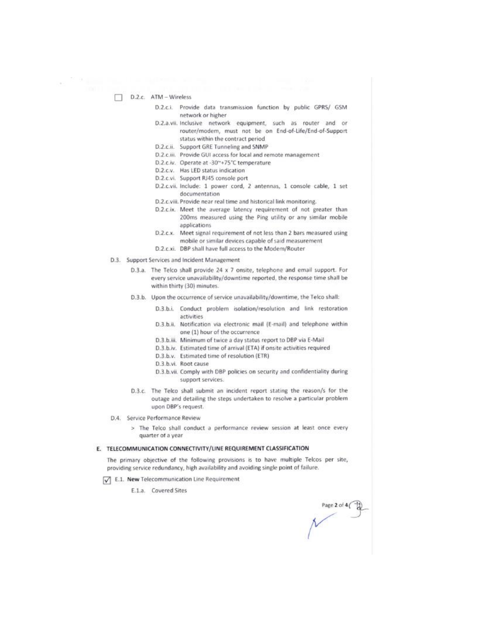### $\Box$  D.2.c. ATM - Wireless

- D.2.c.i. Provide data transmission function by public GPRS/ GSM network or higher
- D.2.a.vii. Inclusive network equipment, such as router and or router/modem, must not be on End-of-Life/End-of-Support status within the contract period
- D.2.c.ii. Support GRE Tunneling and SNMP
- D.2.c.iii. Provide GUI access for local and remote management
- D.2.c.iv. Operate at -30~+75°C temperature
- D.2.c.v. Has LED status indication
- D.2.c.vi. Support RJ45 console port
- D.2.c.vii. Include: 1 power cord, 2 antennas, 1 console cable, 1 set documentation
- D.2.c.viii. Provide near real time and historical link monitoring.
- D.2.c.ix. Meet the average latency requirement of not greater than 200ms measured using the Ping utility or any similar mobile applications
- D.2.c.x. Meet signal requirement of not less than 2 bars measured using mobile or similar devices capable of said measurement
- D.2.c.xi. DBP shall have full access to the Modem/Router
- D.3. Support Services and Incident Management
	- D.3.a. The Telco shall provide 24 x 7 onsite, telephone and email support. For every service unavailability/downtime reported, the response time shall be within thirty (30) minutes.
	- D.3.b. Upon the occurrence of service unavailability/downtime, the Telco shall:
		- D.3.b.i. Conduct problem isolation/resolution and link restoration activities
		- D.3.b.ii. Notification via electronic mail (E-mail) and telephone within one (1) hour of the occurrence
		- D.3.b.iii. Minimum of twice a day status report to DBP via E-Mail
		- D.3.b.iv. Estimated time of arrival (ETA) if onsite activities required
		- D.3.b.v. Estimated time of resolution (ETR)
		- D.3.b.vi. Root cause
		- D.3.b.vii. Comply with DBP policies on security and confidentiality during support services.
	- D.3.c. The Telco shall submit an incident report stating the reason/s for the outage and detailing the steps undertaken to resolve a particular problem upon DBP's request.
- D.4. Service Performance Review
	- > The Telco shall conduct a performance review session at least once every quarter of a year

#### E. TELECOMMUNICATION CONNECTIVITY/LINE REQUIREMENT CLASSIFICATION

The primary objective of the following provisions is to have multiple Telcos per site, providing service redundancy, high availability and avoiding single point of failure.

E.1. New Telecommunication Line Requirement

E.1.a. Covered Sites

age 2 of 4(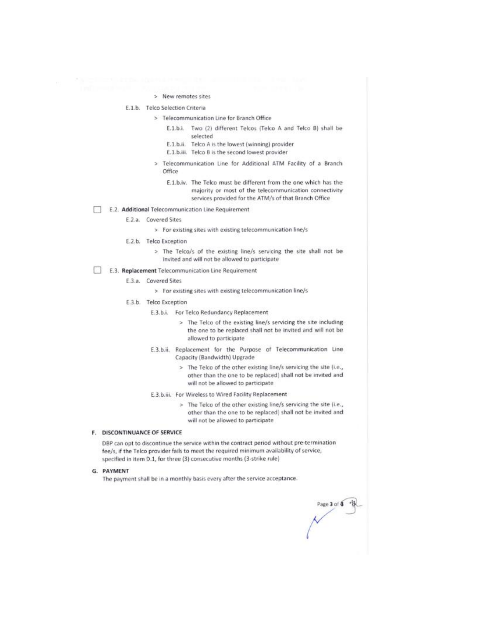#### > New remotes sites

## E.1.b. Telco Selection Criteria

- > Telecommunication Line for Branch Office
	- E.1.b.i. Two (2) different Telcos (Telco A and Telco B) shall be selected
	- E.1.b.ii. Telco A is the lowest (winning) provider
	- E.1.b.iii. Telco B is the second lowest provider
- Telecommunication Line for Additional ATM Facility of a Branch s. Office
	- E.1.b.iv. The Telco must be different from the one which has the majority or most of the telecommunication connectivity services provided for the ATM/s of that Branch Office
- E.2. Additional Telecommunication Line Requirement m
	- E.2.a. Covered Sites
		- > For existing sites with existing telecommunication line/s
	- E.2.b. Telco Exception
		- > The Telco/s of the existing line/s servicing the site shall not be invited and will not be allowed to participate
	- E.3. Replacement Telecommunication Line Requirement
		- E.3.a. Covered Sites
			- > For existing sites with existing telecommunication line/s
		- E.3.b. Telco Exception
			- E.3.b.i. For Telco Redundancy Replacement
				- > The Telco of the existing line/s servicing the site including the one to be replaced shall not be invited and will not be allowed to participate
			- E.3.b.ii. Replacement for the Purpose of Telecommunication Line Capacity (Bandwidth) Upgrade
				- > The Telco of the other existing line/s servicing the site (i.e., other than the one to be replaced) shall not be invited and will not be allowed to participate
			- E.3.b.iii. For Wireless to Wired Facility Replacement
				- > The Telco of the other existing line/s servicing the site (i.e., other than the one to be replaced) shall not be invited and will not be allowed to participate

#### F. DISCONTINUANCE OF SERVICE

DBP can opt to discontinue the service within the contract period without pre-termination fee/s, if the Telco provider fails to meet the required minimum availability of service, specified in item D.1, for three (3) consecutive months (3-strike rule)

#### G. PAYMENT

The payment shall be in a monthly basis every after the service acceptance.

Page 3 of 4